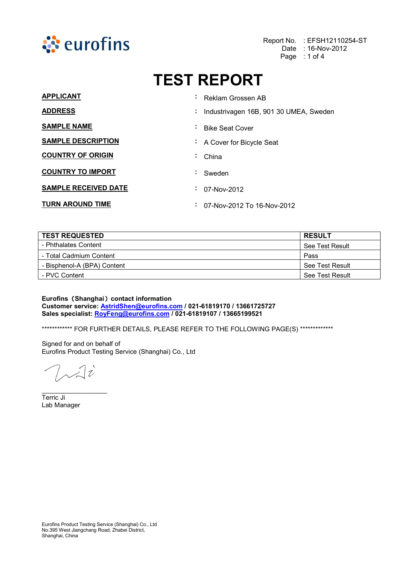

Report No. : EFSH12110254-ST Date : 16-Nov-2012 Page : 1 of 4

# TEST REPORT

| <b>APPLICANT</b>            |                | : Reklam Grossen AB                      |
|-----------------------------|----------------|------------------------------------------|
| <b>ADDRESS</b>              |                | : Industrivagen 16B, 901 30 UMEA, Sweden |
| <b>SAMPLE NAME</b>          |                | ∔ Bike Seat Cover                        |
| <b>SAMPLE DESCRIPTION</b>   |                | : A Cover for Bicycle Seat               |
| <b>COUNTRY OF ORIGIN</b>    | $\blacksquare$ | China                                    |
| <b>COUNTRY TO IMPORT</b>    | ÷.             | Sweden                                   |
| <b>SAMPLE RECEIVED DATE</b> |                | $\div$ 07-Nov-2012                       |
| <b>TURN AROUND TIME</b>     | $\blacksquare$ | 07-Nov-2012 To 16-Nov-2012               |

| <b>TEST REQUESTED</b>       | <b>RESULT</b>   |
|-----------------------------|-----------------|
| - Phthalates Content        | See Test Result |
| - Total Cadmium Content     | Pass            |
| - Bisphenol-A (BPA) Content | See Test Result |
| - PVC Content               | See Test Result |

Eurofins (Shanghai) contact information Customer service: AstridShen@eurofins.com / 021-61819170 / 13661725727 Sales specialist: RoyFeng@eurofins.com / 021-61819107 / 13665199521

\*\*\*\*\*\*\*\*\*\*\*\*\* FOR FURTHER DETAILS, PLEASE REFER TO THE FOLLOWING PAGE(S) \*\*\*\*\*\*\*\*\*\*\*\*\*\*

Signed for and on behalf of Eurofins Product Testing Service (Shanghai) Co., Ltd

 $7\sqrt{2}$ 

 $\_$ 

Terric Ji Lab Manager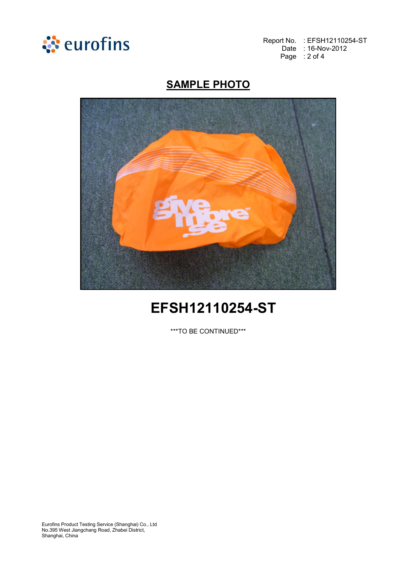

Report No. : EFSH12110254-ST Date : 16-Nov-2012 Page : 2 of 4

# **SAMPLE PHOTO**



# EFSH12110254-ST

\*\*\*TO BE CONTINUED\*\*\*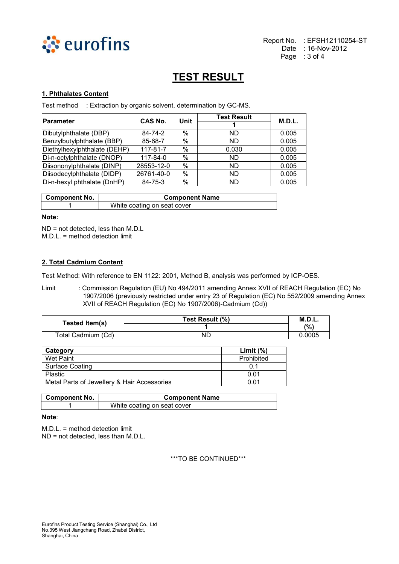

# TEST RESULT

### 1. Phthalates Content

Test method : Extraction by organic solvent, determination by GC-MS.

| <b>Parameter</b>             | CAS No.        | Unit | <b>Test Result</b> | <b>M.D.L.</b> |
|------------------------------|----------------|------|--------------------|---------------|
|                              |                |      |                    |               |
| Dibutylphthalate (DBP)       | 84-74-2        | $\%$ | ND.                | 0.005         |
| Benzylbutylphthalate (BBP)   | 85-68-7        | %    | ND.                | 0.005         |
| Diethylhexylphthalate (DEHP) | $117 - 81 - 7$ | %    | 0.030              | 0.005         |
| Di-n-octylphthalate (DNOP)   | 117-84-0       | %    | <b>ND</b>          | 0.005         |
| Diisononylphthalate (DINP)   | 28553-12-0     | %    | <b>ND</b>          | 0.005         |
| Diisodecylphthalate (DIDP)   | 26761-40-0     | $\%$ | <b>ND</b>          | 0.005         |
| Di-n-hexyl phthalate (DnHP)  | 84-75-3        | %    | ND.                | 0.005         |

| <b>Component No.</b> | <b>Component Name</b>       |
|----------------------|-----------------------------|
|                      | White coating on seat cover |

## Note:

ND = not detected, less than M.D.L M.D.L. = method detection limit

#### 2. Total Cadmium Content

Test Method: With reference to EN 1122: 2001, Method B, analysis was performed by ICP-OES.

Limit : Commission Regulation (EU) No 494/2011 amending Annex XVII of REACH Regulation (EC) No 1907/2006 (previously restricted under entry 23 of Regulation (EC) No 552/2009 amending Annex XVII of REACH Regulation (EC) No 1907/2006)-Cadmium (Cd))

| Tested Item(s)     | Test Result (%) | M.D.L. |
|--------------------|-----------------|--------|
|                    |                 | (%)    |
| Total Cadmium (Cd) | ND              | 0.0005 |

| Category                                    | Limit $(%)$ |
|---------------------------------------------|-------------|
| Wet Paint                                   | Prohibited  |
| Surface Coating                             | 0.1         |
| <b>Plastic</b>                              | 0.01        |
| Metal Parts of Jewellery & Hair Accessories | 0.01        |

| <b>Component No.</b> | <b>Component Name</b>       |
|----------------------|-----------------------------|
|                      | White coating on seat cover |

#### Note:

M.D.L. = method detection limit ND = not detected, less than M.D.L.

\*\*\*TO BE CONTINUED\*\*\*